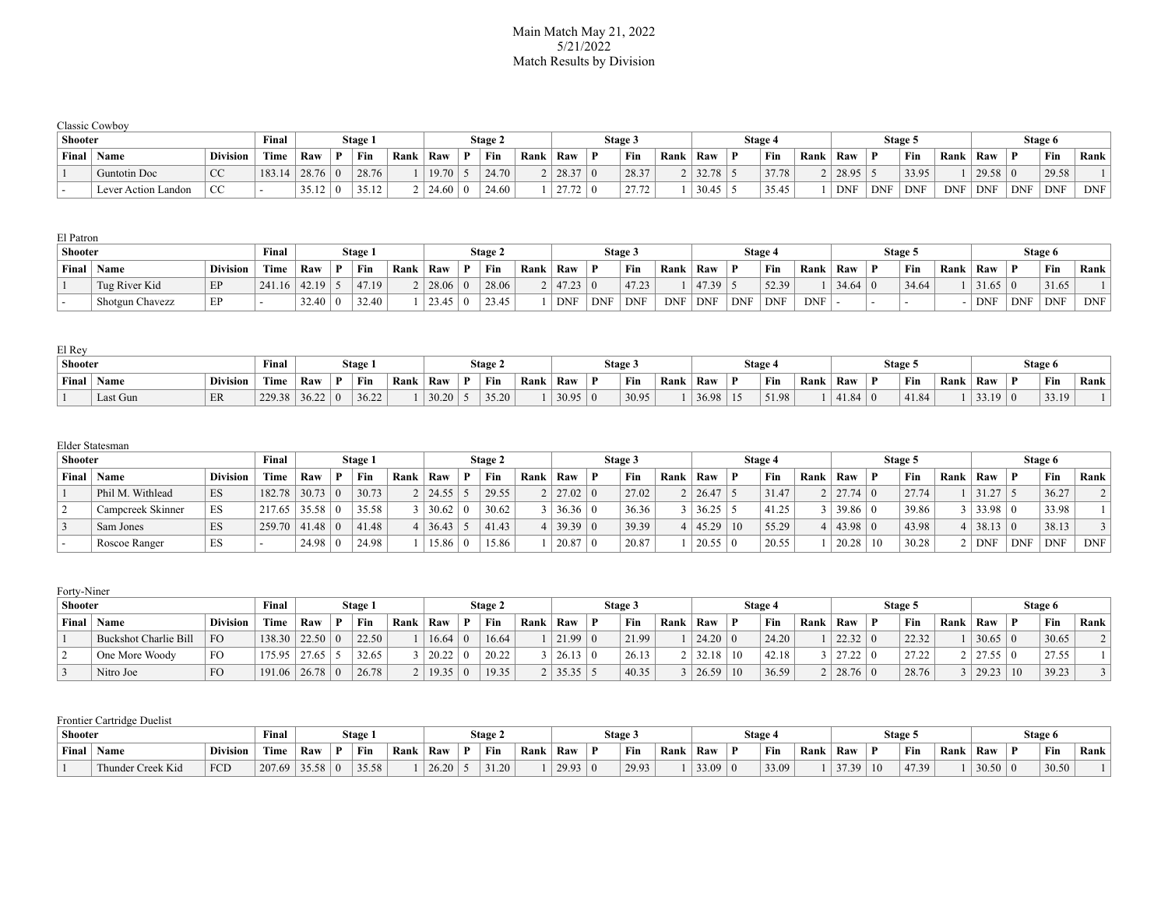## Main Match May 21, 2022 5/21/2022 Match Results by Division

| <b>Shooter</b> |                      | Final           |             | Stage 1       |              |      | <b>Stage 2</b> |       |      | Stage 3 |                |      | Stage 4 |       |      |            | <b>Stage 5</b> |            |            |            | Stage 6    |            |            |
|----------------|----------------------|-----------------|-------------|---------------|--------------|------|----------------|-------|------|---------|----------------|------|---------|-------|------|------------|----------------|------------|------------|------------|------------|------------|------------|
| Final          | $^{\mathrm{+}}$ Name | <b>Division</b> | <b>Time</b> | Raw           | Fin          | Rank | ' Raw          | Fin   | Rank | Raw     | Fin            | Rank | Raw     | Fin   | Rank | Raw        |                | Fin        | Rank       | Raw        |            | Fin        | Rank       |
|                | Guntotin Doc         | $\sim$<br>u     | 183.14      | 28.76         | 28.76        |      | $19.70$        | 24.70 |      | 28.37   | 28.37          |      | 32.78   | 37.78 |      | 28.95      |                | 33.95      |            | 29.58      |            | 29.58      |            |
|                | Lever Action Landon  | <b>CC</b>       |             | 2512<br>JJ.IL | 2512<br>ے⊥.ب |      | 24.60          | 24.60 |      | 27.72   | 27.72<br>21.12 |      | 30.45   | 35.45 |      | <b>DNF</b> | <b>DNF</b>     | <b>DNF</b> | <b>DNF</b> | <b>DNF</b> | <b>DNF</b> | <b>DNF</b> | <b>DNF</b> |

| El Patron      |                 |                 |             |       |         |      |                |              |                |      |            |            |            |            |            |            |            |            |       |         |      |       |            |            |            |
|----------------|-----------------|-----------------|-------------|-------|---------|------|----------------|--------------|----------------|------|------------|------------|------------|------------|------------|------------|------------|------------|-------|---------|------|-------|------------|------------|------------|
| <b>Shooter</b> |                 |                 | Final       |       | Stage 1 |      |                |              | <b>Stage 2</b> |      |            |            | Stage 3    |            |            |            | Stage 4    |            |       | Stage 5 |      |       |            | Stage 6    |            |
| Final          | Name            | <b>Division</b> | <b>Time</b> | Raw   | Fin     | Rank | Raw            |              | Fin            | Rank | Raw        | D          | Fin        | Rank       | Raw        |            | Fin        | Rank       | Raw   | Fin     | Rank | Raw   |            | ' Fin      | Rank       |
|                | Tug River Kid   | EP              | 241.16      | 42.19 | 47.19   |      | $28.06 \mid 0$ |              | 28.06          |      | 47.23      |            | 47.23      |            | 47.39      |            | 52.39      |            | 34.64 | 34.64   |      | 31.65 |            | 31.65      |            |
|                | Shotgun Chavezz | EP              |             | 32.40 | 32.40   |      | 23.45          | $^{\circ}$ 0 | 23.45          |      | <b>DNF</b> | <b>DNF</b> | <b>DNF</b> | <b>DNF</b> | <b>DNF</b> | <b>DNF</b> | <b>DNF</b> | <b>DNF</b> |       | . .     | - 1  | DNF   | <b>DNF</b> | <b>DNF</b> | <b>DNF</b> |

| El Rev  |          |                 |        |       |         |      |       |    |                |      |       |                |         |      |       |              |         |      |       |              |         |      |       |   |         |        |
|---------|----------|-----------------|--------|-------|---------|------|-------|----|----------------|------|-------|----------------|---------|------|-------|--------------|---------|------|-------|--------------|---------|------|-------|---|---------|--------|
| Shooter |          |                 | Final  |       | Stage 1 |      |       |    | <b>Stage 2</b> |      |       |                | Stage 3 |      |       |              | Stage 4 |      |       |              | Stage 5 |      |       |   | Stage 6 |        |
| Final   | Name     | <b>Division</b> | Time   | Raw   | † Fin   | Rank | Raw   | D. | Fin            | Rank | Raw   |                | Fin     | Rank | Raw   | $\mathbf{D}$ | Fin     | Rank | Raw   | $\mathbf{r}$ | ` Fin   | Rank | Raw   | D | ' Fin   | Rank . |
|         | Last Gun | ER              | 229.38 | 36.22 | 36.22   |      | 30.20 |    | 35.20          |      | 30.95 | $\overline{0}$ | 30.95   |      | 36.98 | 15           | 51.98   |      | 41.84 |              | 41.84   |      | 33.19 |   | 33.19   |        |

|         | Elder Statesman   |                 |                  |       |         |      |       |         |      |                |                |         |      |       |    |         |      |                       |    |         |      |               |            |            |            |
|---------|-------------------|-----------------|------------------|-------|---------|------|-------|---------|------|----------------|----------------|---------|------|-------|----|---------|------|-----------------------|----|---------|------|---------------|------------|------------|------------|
| Shooter |                   |                 | Final            |       | Stage 1 |      |       | Stage 2 |      |                |                | Stage 3 |      |       |    | Stage 4 |      |                       |    | Stage 5 |      |               |            | Stage 6    |            |
| Final   | <b>Name</b>       | <b>Division</b> | Time             | Raw   | Fin     | Rank | Raw   | Fin     | Rank | Raw            | D              | Fin     | Rank | Raw   |    | Fin     | Rank | Raw                   |    | Fin     | Rank | Raw           |            | Fin        | Rank       |
|         | Phil M. Withlead  | ES              | 182.78           | 30.73 | 30.73   |      | 24.55 | 29.55   |      | 27.02          | $\overline{0}$ | 27.02   |      | 26.47 |    | 31.47   |      | $2 \mid 27.74 \mid 0$ |    | 27.74   |      | 31.27         |            | 36.27      |            |
|         | Campcreek Skinner | ES              | $217.65$   35.58 |       | 35.58   |      | 30.62 | 30.62   |      | $36.36 \mid 0$ |                | 36.36   |      | 36.25 |    | 41.25   |      | 39.86                 |    | 39.86   |      | 33.98 0       |            | 33.98      |            |
|         | Sam Jones         | ES              | $259.70$   41.48 |       | 41.48   |      | 36.43 | 41.43   |      | 39.39          | $\Omega$       | 39.39   |      | 45.29 | 10 | 55.29   |      | 4   43.98   0         |    | 43.98   |      | $38.13 \pm 0$ |            | 38.13      |            |
|         | Roscoe Ranger     | ES              |                  | 24.98 | 24.98   |      | 15.86 | 15.86   |      | 20.87          |                | 20.87   |      | 20.55 |    | 20.55   |      | 20.28                 | 10 | 30.28   |      | <b>DNF</b>    | <b>DNF</b> | <b>DNF</b> | <b>DNF</b> |

| Forty-Niner |                       |                 |                  |                    |   |         |      |                |          |         |            |                 |              |         |      |                |    |         |      |             |   |         |      |                                                                                             |    |         |      |
|-------------|-----------------------|-----------------|------------------|--------------------|---|---------|------|----------------|----------|---------|------------|-----------------|--------------|---------|------|----------------|----|---------|------|-------------|---|---------|------|---------------------------------------------------------------------------------------------|----|---------|------|
| Shooter     |                       |                 | Final            |                    |   | Stage 1 |      |                |          | Stage 2 |            |                 |              | Stage 3 |      |                |    | Stage 4 |      |             |   | Stage 5 |      |                                                                                             |    | Stage 6 |      |
| Final       | Name                  | <b>Division</b> | Time             | Raw                | D | Fin     | Rank | Raw            |          | Fin     | Rank   Raw |                 | $\mathbf{D}$ | Fin     | Rank | Raw            |    | Fin     | Rank | Raw         | D | Fin     | Rank | Raw                                                                                         |    | Fin     | Rank |
|             | Buckshot Charlie Bill | <b>FO</b>       | $138.30$   22.50 |                    |   | 22.50   |      | 16.64          | $\Omega$ | 16.64   |            | 21.99 0         |              | 21.99   |      | $24.20 \mid 0$ |    | 24.20   |      | 22.32       |   | 22.32   |      | 30.65                                                                                       |    | 30.65   |      |
|             | One More Woody        | <b>FO</b>       |                  | 175.95   27.65   5 |   | 32.65   |      | $20.22 \mid 0$ |          | 20.22   |            | 26.13 0         |              | 26.13   |      | 32.18          | 10 | 42.18   |      | 127.22 0    |   | 27.22   |      | $\begin{array}{c} \n \begin{array}{ccc} \n 1 & 2 & 7 & 5 & 6 \n \end{array} \n \end{array}$ |    | 27.55   |      |
|             | Nitro Joe             | <b>FO</b>       | 191.06           | 26.78              |   | 26.78   |      | 2   19.35   0  |          | 19.35   |            | $2   35.35  $ . |              | 40.35   |      | 26.59          | 10 | 36.59   |      | $28.76$   U |   | 28.76   |      | 29.23                                                                                       | 10 | 39.23   |      |

## Frontier Cartridge Duelist

| <b>Shooter</b> |                   |                 | Final  |                |    | Stage. |      |       |              | Stage 2 |          |       |   | Stage 3 |      |              |   | Stage . |      |                          |    | Stage 5                 |      |       | Stage 6 |      |
|----------------|-------------------|-----------------|--------|----------------|----|--------|------|-------|--------------|---------|----------|-------|---|---------|------|--------------|---|---------|------|--------------------------|----|-------------------------|------|-------|---------|------|
| Final          | Name              | <b>Division</b> | Time   | Raw            | D. | Fin    | Rank | Raw   | $\mathbf{D}$ | Fin     | $Rank_1$ | Raw   | m | Fin     | Rank | Raw          | Ð | Fin     | Rank | Raw                      |    | Fin                     | Rank | Raw   | Fin     | Rank |
|                | Thunder Creek Kid | FCD             | 207.69 | $35.58 \mid 0$ |    | 35.58  |      | 26.20 |              | 31.20   |          | 29.93 |   | 29.93   |      | 220<br>'J.V. |   | 33.09   |      | $\overline{\phantom{a}}$ | 10 | 47.39<br>$\overline{a}$ |      | 30.50 | 30.50   |      |